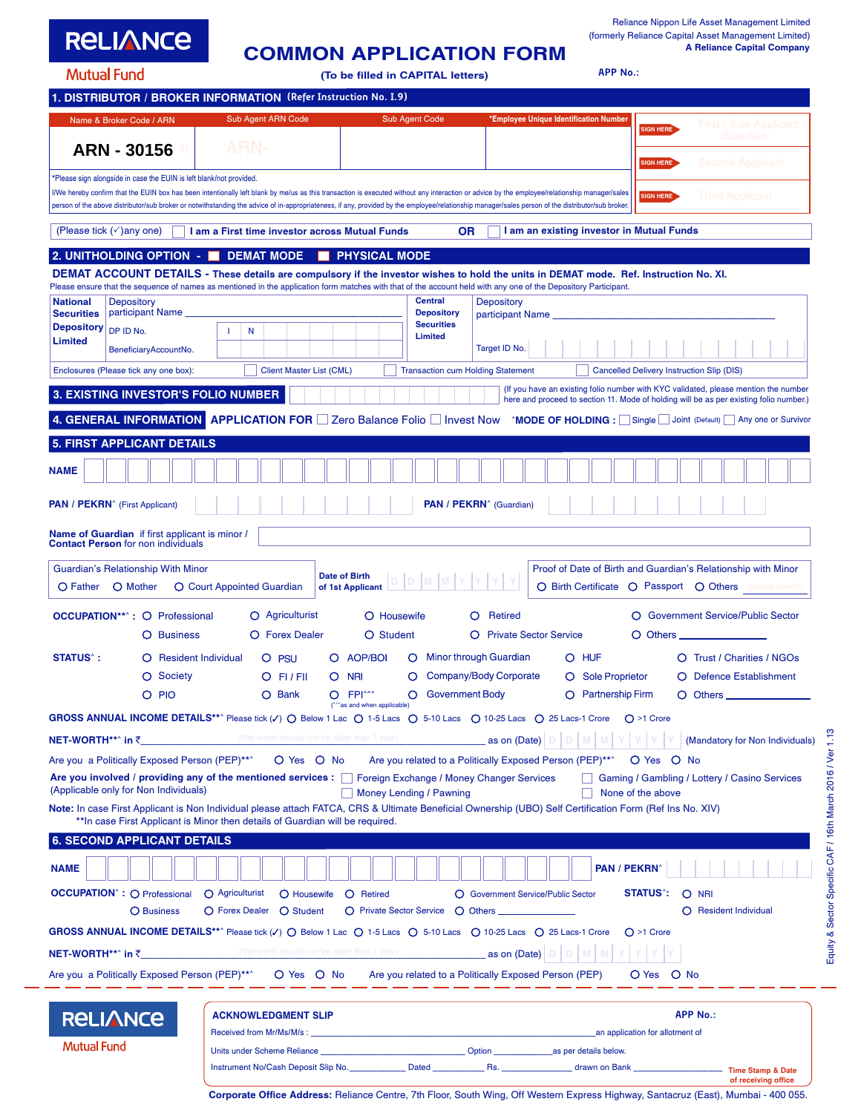| <b>RELIANCE</b>    | <b>COMMON APPLICATION FORM</b>    |
|--------------------|-----------------------------------|
| <b>Mutual Fund</b> | (To be filled in CAPITAL letters) |

**APP No.:**

| Name & Broker Code / ARN                                                                                                                    | Sub Agent ARN Code                                                                                                                                                                                                                                                                                                                                                                                                                                                                                                                                                                                                                                                                                                                                                                                                                                                                                                                                                                                                                                                                                                                                                                                                                                                                                                                                                                                                                                                                                                                                                                                                                                                                                                                                                                                                                                                                                                                                                                                                                                                                                                                                                                                                                                                                                                                                                                                                                                                                                                                                                                                                                                                                                                                                                                                                                                                                                                                                                                                                                                                                                                                                                                                                                                                                                                                                                                                                                                                                                                                                                                                                                                                                                                                                                                                                                                                                                                                                                                                                                                                                                                                                                                                                       | <b>Sub Agent Code</b> |                                                                                                                                                                                                                                      | First / Sole Applicant /        |
|---------------------------------------------------------------------------------------------------------------------------------------------|--------------------------------------------------------------------------------------------------------------------------------------------------------------------------------------------------------------------------------------------------------------------------------------------------------------------------------------------------------------------------------------------------------------------------------------------------------------------------------------------------------------------------------------------------------------------------------------------------------------------------------------------------------------------------------------------------------------------------------------------------------------------------------------------------------------------------------------------------------------------------------------------------------------------------------------------------------------------------------------------------------------------------------------------------------------------------------------------------------------------------------------------------------------------------------------------------------------------------------------------------------------------------------------------------------------------------------------------------------------------------------------------------------------------------------------------------------------------------------------------------------------------------------------------------------------------------------------------------------------------------------------------------------------------------------------------------------------------------------------------------------------------------------------------------------------------------------------------------------------------------------------------------------------------------------------------------------------------------------------------------------------------------------------------------------------------------------------------------------------------------------------------------------------------------------------------------------------------------------------------------------------------------------------------------------------------------------------------------------------------------------------------------------------------------------------------------------------------------------------------------------------------------------------------------------------------------------------------------------------------------------------------------------------------------------------------------------------------------------------------------------------------------------------------------------------------------------------------------------------------------------------------------------------------------------------------------------------------------------------------------------------------------------------------------------------------------------------------------------------------------------------------------------------------------------------------------------------------------------------------------------------------------------------------------------------------------------------------------------------------------------------------------------------------------------------------------------------------------------------------------------------------------------------------------------------------------------------------------------------------------------------------------------------------------------------------------------------------------------------------------------------------------------------------------------------------------------------------------------------------------------------------------------------------------------------------------------------------------------------------------------------------------------------------------------------------------------------------------------------------------------------------------------------------------------------------------------------------------|-----------------------|--------------------------------------------------------------------------------------------------------------------------------------------------------------------------------------------------------------------------------------|---------------------------------|
| <b>ARN - 30156</b>                                                                                                                          | ARN·                                                                                                                                                                                                                                                                                                                                                                                                                                                                                                                                                                                                                                                                                                                                                                                                                                                                                                                                                                                                                                                                                                                                                                                                                                                                                                                                                                                                                                                                                                                                                                                                                                                                                                                                                                                                                                                                                                                                                                                                                                                                                                                                                                                                                                                                                                                                                                                                                                                                                                                                                                                                                                                                                                                                                                                                                                                                                                                                                                                                                                                                                                                                                                                                                                                                                                                                                                                                                                                                                                                                                                                                                                                                                                                                                                                                                                                                                                                                                                                                                                                                                                                                                                                                                     |                       |                                                                                                                                                                                                                                      | Guardian                        |
|                                                                                                                                             |                                                                                                                                                                                                                                                                                                                                                                                                                                                                                                                                                                                                                                                                                                                                                                                                                                                                                                                                                                                                                                                                                                                                                                                                                                                                                                                                                                                                                                                                                                                                                                                                                                                                                                                                                                                                                                                                                                                                                                                                                                                                                                                                                                                                                                                                                                                                                                                                                                                                                                                                                                                                                                                                                                                                                                                                                                                                                                                                                                                                                                                                                                                                                                                                                                                                                                                                                                                                                                                                                                                                                                                                                                                                                                                                                                                                                                                                                                                                                                                                                                                                                                                                                                                                                          |                       |                                                                                                                                                                                                                                      |                                 |
|                                                                                                                                             | DISTRIBUTOR / BROKER INFORMATION (Refer Instruction No. I.9)<br>*Employee Unique Identification Number<br>SIGN HERE<br>Second Applicant<br>SIGN HERE<br>*Please sign alongside in case the EUIN is left blank/not provided.<br>I/We hereby confirm that the EUIN box has been intentionally left blank by me/us as this transaction is executed without any interaction or advice by the employee/relationship manager/sales<br><b>Third Applicant</b><br>SIGN HERE<br>person of the above distributor/sub broker or notwithstanding the advice of in-appropriateness, if any, provided by the employee/relationship manager/sales person of the distributor/sub broker.<br>I am an existing investor in Mutual Funds<br>I am a First time investor across Mutual Funds<br><b>OR</b><br><b>PHYSICAL MODE</b><br>2. UNITHOLDING OPTION -<br><b>DEMAT MODE</b><br>DEMAT ACCOUNT DETAILS - These details are compulsory if the investor wishes to hold the units in DEMAT mode. Ref. Instruction No. XI.<br>Please ensure that the sequence of names as mentioned in the application form matches with that of the account held with any one of the Depository Participant.<br><b>Central</b><br>Depository<br><b>Depository</b><br>participant Name<br><b>Depository</b><br>participant Name<br><b>Securities</b><br>Depository DP ID No.<br>т.<br>N<br>Limited<br>Target ID No.<br>BeneficiaryAccountNo.<br>Enclosures (Please tick any one box):<br><b>Transaction cum Holding Statement</b><br><b>Client Master List (CML)</b><br>Cancelled Delivery Instruction Slip (DIS)<br>(If you have an existing folio number with KYC validated, please mention the number<br>3. EXISTING INVESTOR'S FOLIO NUMBER<br>here and proceed to section 11. Mode of holding will be as per existing folio number.)<br>4. GENERAL INFORMATION APPLICATION FOR 2 For Balance Folio Invest Now ^MODE OF HOLDING : Single I Joint (Default) Any one or Survivor<br><b>5. FIRST APPLICANT DETAILS</b><br>PAN / PEKRN <sup>^</sup> (Guardian)<br><b>Name of Guardian</b> if first applicant is minor /<br>Guardian's Relationship With Minor<br>Proof of Date of Birth and Guardian's Relationship with Minor<br><b>Date of Birth</b><br>O Mother<br>O Court Appointed Guardian<br>O Birth Certificate O Passport O Others (please specify)<br>of 1st Applicant<br>$\bigcirc$ Agriculturist<br>O Government Service/Public Sector<br><b>OCCUPATION**^: O Professional</b><br>O Housewife<br><b>Retired</b><br>O<br>O Forex Dealer<br>O Student<br><b>Private Sector Service</b><br><b>O</b> Business<br>O<br>O Others<br>Minor through Guardian<br>AOP/BOI<br>O HUF<br><b>Trust / Charities / NGOs</b><br><b>Resident Individual</b><br>O<br><b>PSU</b><br>O<br>O<br>O<br>O<br>Society<br>Company/Body Corporate<br><b>NRI</b><br>O Sole Proprietor<br><b>Defence Establishment</b><br>O<br>$O$ FI/FII<br>$\circ$<br>O<br><b>PIO</b><br>O Bank<br>FPI <sup>N</sup><br><b>Government Body</b><br><b>Partnership Firm</b><br>Ο<br>O<br>O<br>O<br>(^^^as and when applicable)<br>GROSS ANNUAL INCOME DETAILS**^ Please tick (V) O Below 1 Lac O 1-5 Lacs O 5-10 Lacs O 10-25 Lacs O 25 Lacs-1 Crore<br><b>NET-WORTH**</b> in $\bar{\tau}$ <b>D</b> (Net worth should not be older than 1 year) <b>as on (Date)</b> D<br>D<br>Are you a Politically Exposed Person (PEP)**^ $\bigcirc$ Yes $\bigcirc$ No Are you related to a Politically Exposed Person (PEP)**^<br>O Yes O No<br>Are you involved / providing any of the mentioned services : Figure Exchange / Money Changer Services<br>  Gaming / Gambling / Lottery / Casino Services<br>None of the above<br>Money Lending / Pawning<br>Note: In case First Applicant is Non Individual please attach FATCA, CRS & Ultimate Beneficial Ownership (UBO) Self Certification Form (Ref Ins No. XIV)<br>** In case First Applicant is Minor then details of Guardian will be required.<br><b>6. SECOND APPLICANT DETAILS</b><br><b>PAN / PEKRN</b><br><b>OCCUPATION</b> <sup>2</sup> : O Professional O Agriculturist O Housewife O Retired<br>O Government Service/Public Sector<br><b>STATUS</b> <sup>*</sup> :<br>O NRI<br>O Business<br>○ Forex Dealer ○ Student<br>O Resident Individual |                       |                                                                                                                                                                                                                                      |                                 |
| (Please tick $(\checkmark)$ any one)                                                                                                        |                                                                                                                                                                                                                                                                                                                                                                                                                                                                                                                                                                                                                                                                                                                                                                                                                                                                                                                                                                                                                                                                                                                                                                                                                                                                                                                                                                                                                                                                                                                                                                                                                                                                                                                                                                                                                                                                                                                                                                                                                                                                                                                                                                                                                                                                                                                                                                                                                                                                                                                                                                                                                                                                                                                                                                                                                                                                                                                                                                                                                                                                                                                                                                                                                                                                                                                                                                                                                                                                                                                                                                                                                                                                                                                                                                                                                                                                                                                                                                                                                                                                                                                                                                                                                          |                       |                                                                                                                                                                                                                                      |                                 |
|                                                                                                                                             |                                                                                                                                                                                                                                                                                                                                                                                                                                                                                                                                                                                                                                                                                                                                                                                                                                                                                                                                                                                                                                                                                                                                                                                                                                                                                                                                                                                                                                                                                                                                                                                                                                                                                                                                                                                                                                                                                                                                                                                                                                                                                                                                                                                                                                                                                                                                                                                                                                                                                                                                                                                                                                                                                                                                                                                                                                                                                                                                                                                                                                                                                                                                                                                                                                                                                                                                                                                                                                                                                                                                                                                                                                                                                                                                                                                                                                                                                                                                                                                                                                                                                                                                                                                                                          |                       |                                                                                                                                                                                                                                      |                                 |
|                                                                                                                                             |                                                                                                                                                                                                                                                                                                                                                                                                                                                                                                                                                                                                                                                                                                                                                                                                                                                                                                                                                                                                                                                                                                                                                                                                                                                                                                                                                                                                                                                                                                                                                                                                                                                                                                                                                                                                                                                                                                                                                                                                                                                                                                                                                                                                                                                                                                                                                                                                                                                                                                                                                                                                                                                                                                                                                                                                                                                                                                                                                                                                                                                                                                                                                                                                                                                                                                                                                                                                                                                                                                                                                                                                                                                                                                                                                                                                                                                                                                                                                                                                                                                                                                                                                                                                                          |                       |                                                                                                                                                                                                                                      |                                 |
| <b>National</b>                                                                                                                             |                                                                                                                                                                                                                                                                                                                                                                                                                                                                                                                                                                                                                                                                                                                                                                                                                                                                                                                                                                                                                                                                                                                                                                                                                                                                                                                                                                                                                                                                                                                                                                                                                                                                                                                                                                                                                                                                                                                                                                                                                                                                                                                                                                                                                                                                                                                                                                                                                                                                                                                                                                                                                                                                                                                                                                                                                                                                                                                                                                                                                                                                                                                                                                                                                                                                                                                                                                                                                                                                                                                                                                                                                                                                                                                                                                                                                                                                                                                                                                                                                                                                                                                                                                                                                          |                       |                                                                                                                                                                                                                                      |                                 |
| <b>Securities</b>                                                                                                                           |                                                                                                                                                                                                                                                                                                                                                                                                                                                                                                                                                                                                                                                                                                                                                                                                                                                                                                                                                                                                                                                                                                                                                                                                                                                                                                                                                                                                                                                                                                                                                                                                                                                                                                                                                                                                                                                                                                                                                                                                                                                                                                                                                                                                                                                                                                                                                                                                                                                                                                                                                                                                                                                                                                                                                                                                                                                                                                                                                                                                                                                                                                                                                                                                                                                                                                                                                                                                                                                                                                                                                                                                                                                                                                                                                                                                                                                                                                                                                                                                                                                                                                                                                                                                                          |                       |                                                                                                                                                                                                                                      |                                 |
| <b>Limited</b>                                                                                                                              |                                                                                                                                                                                                                                                                                                                                                                                                                                                                                                                                                                                                                                                                                                                                                                                                                                                                                                                                                                                                                                                                                                                                                                                                                                                                                                                                                                                                                                                                                                                                                                                                                                                                                                                                                                                                                                                                                                                                                                                                                                                                                                                                                                                                                                                                                                                                                                                                                                                                                                                                                                                                                                                                                                                                                                                                                                                                                                                                                                                                                                                                                                                                                                                                                                                                                                                                                                                                                                                                                                                                                                                                                                                                                                                                                                                                                                                                                                                                                                                                                                                                                                                                                                                                                          |                       |                                                                                                                                                                                                                                      |                                 |
|                                                                                                                                             |                                                                                                                                                                                                                                                                                                                                                                                                                                                                                                                                                                                                                                                                                                                                                                                                                                                                                                                                                                                                                                                                                                                                                                                                                                                                                                                                                                                                                                                                                                                                                                                                                                                                                                                                                                                                                                                                                                                                                                                                                                                                                                                                                                                                                                                                                                                                                                                                                                                                                                                                                                                                                                                                                                                                                                                                                                                                                                                                                                                                                                                                                                                                                                                                                                                                                                                                                                                                                                                                                                                                                                                                                                                                                                                                                                                                                                                                                                                                                                                                                                                                                                                                                                                                                          |                       |                                                                                                                                                                                                                                      |                                 |
|                                                                                                                                             |                                                                                                                                                                                                                                                                                                                                                                                                                                                                                                                                                                                                                                                                                                                                                                                                                                                                                                                                                                                                                                                                                                                                                                                                                                                                                                                                                                                                                                                                                                                                                                                                                                                                                                                                                                                                                                                                                                                                                                                                                                                                                                                                                                                                                                                                                                                                                                                                                                                                                                                                                                                                                                                                                                                                                                                                                                                                                                                                                                                                                                                                                                                                                                                                                                                                                                                                                                                                                                                                                                                                                                                                                                                                                                                                                                                                                                                                                                                                                                                                                                                                                                                                                                                                                          |                       |                                                                                                                                                                                                                                      |                                 |
|                                                                                                                                             |                                                                                                                                                                                                                                                                                                                                                                                                                                                                                                                                                                                                                                                                                                                                                                                                                                                                                                                                                                                                                                                                                                                                                                                                                                                                                                                                                                                                                                                                                                                                                                                                                                                                                                                                                                                                                                                                                                                                                                                                                                                                                                                                                                                                                                                                                                                                                                                                                                                                                                                                                                                                                                                                                                                                                                                                                                                                                                                                                                                                                                                                                                                                                                                                                                                                                                                                                                                                                                                                                                                                                                                                                                                                                                                                                                                                                                                                                                                                                                                                                                                                                                                                                                                                                          |                       |                                                                                                                                                                                                                                      |                                 |
|                                                                                                                                             |                                                                                                                                                                                                                                                                                                                                                                                                                                                                                                                                                                                                                                                                                                                                                                                                                                                                                                                                                                                                                                                                                                                                                                                                                                                                                                                                                                                                                                                                                                                                                                                                                                                                                                                                                                                                                                                                                                                                                                                                                                                                                                                                                                                                                                                                                                                                                                                                                                                                                                                                                                                                                                                                                                                                                                                                                                                                                                                                                                                                                                                                                                                                                                                                                                                                                                                                                                                                                                                                                                                                                                                                                                                                                                                                                                                                                                                                                                                                                                                                                                                                                                                                                                                                                          |                       |                                                                                                                                                                                                                                      |                                 |
|                                                                                                                                             |                                                                                                                                                                                                                                                                                                                                                                                                                                                                                                                                                                                                                                                                                                                                                                                                                                                                                                                                                                                                                                                                                                                                                                                                                                                                                                                                                                                                                                                                                                                                                                                                                                                                                                                                                                                                                                                                                                                                                                                                                                                                                                                                                                                                                                                                                                                                                                                                                                                                                                                                                                                                                                                                                                                                                                                                                                                                                                                                                                                                                                                                                                                                                                                                                                                                                                                                                                                                                                                                                                                                                                                                                                                                                                                                                                                                                                                                                                                                                                                                                                                                                                                                                                                                                          |                       |                                                                                                                                                                                                                                      |                                 |
| <b>NAME</b>                                                                                                                                 |                                                                                                                                                                                                                                                                                                                                                                                                                                                                                                                                                                                                                                                                                                                                                                                                                                                                                                                                                                                                                                                                                                                                                                                                                                                                                                                                                                                                                                                                                                                                                                                                                                                                                                                                                                                                                                                                                                                                                                                                                                                                                                                                                                                                                                                                                                                                                                                                                                                                                                                                                                                                                                                                                                                                                                                                                                                                                                                                                                                                                                                                                                                                                                                                                                                                                                                                                                                                                                                                                                                                                                                                                                                                                                                                                                                                                                                                                                                                                                                                                                                                                                                                                                                                                          |                       |                                                                                                                                                                                                                                      |                                 |
| <b>PAN / PEKRN</b> <sup>^</sup> (First Applicant)                                                                                           |                                                                                                                                                                                                                                                                                                                                                                                                                                                                                                                                                                                                                                                                                                                                                                                                                                                                                                                                                                                                                                                                                                                                                                                                                                                                                                                                                                                                                                                                                                                                                                                                                                                                                                                                                                                                                                                                                                                                                                                                                                                                                                                                                                                                                                                                                                                                                                                                                                                                                                                                                                                                                                                                                                                                                                                                                                                                                                                                                                                                                                                                                                                                                                                                                                                                                                                                                                                                                                                                                                                                                                                                                                                                                                                                                                                                                                                                                                                                                                                                                                                                                                                                                                                                                          |                       |                                                                                                                                                                                                                                      |                                 |
| <b>Contact Person for non individuals</b>                                                                                                   |                                                                                                                                                                                                                                                                                                                                                                                                                                                                                                                                                                                                                                                                                                                                                                                                                                                                                                                                                                                                                                                                                                                                                                                                                                                                                                                                                                                                                                                                                                                                                                                                                                                                                                                                                                                                                                                                                                                                                                                                                                                                                                                                                                                                                                                                                                                                                                                                                                                                                                                                                                                                                                                                                                                                                                                                                                                                                                                                                                                                                                                                                                                                                                                                                                                                                                                                                                                                                                                                                                                                                                                                                                                                                                                                                                                                                                                                                                                                                                                                                                                                                                                                                                                                                          |                       |                                                                                                                                                                                                                                      |                                 |
|                                                                                                                                             |                                                                                                                                                                                                                                                                                                                                                                                                                                                                                                                                                                                                                                                                                                                                                                                                                                                                                                                                                                                                                                                                                                                                                                                                                                                                                                                                                                                                                                                                                                                                                                                                                                                                                                                                                                                                                                                                                                                                                                                                                                                                                                                                                                                                                                                                                                                                                                                                                                                                                                                                                                                                                                                                                                                                                                                                                                                                                                                                                                                                                                                                                                                                                                                                                                                                                                                                                                                                                                                                                                                                                                                                                                                                                                                                                                                                                                                                                                                                                                                                                                                                                                                                                                                                                          |                       |                                                                                                                                                                                                                                      |                                 |
| O Father                                                                                                                                    |                                                                                                                                                                                                                                                                                                                                                                                                                                                                                                                                                                                                                                                                                                                                                                                                                                                                                                                                                                                                                                                                                                                                                                                                                                                                                                                                                                                                                                                                                                                                                                                                                                                                                                                                                                                                                                                                                                                                                                                                                                                                                                                                                                                                                                                                                                                                                                                                                                                                                                                                                                                                                                                                                                                                                                                                                                                                                                                                                                                                                                                                                                                                                                                                                                                                                                                                                                                                                                                                                                                                                                                                                                                                                                                                                                                                                                                                                                                                                                                                                                                                                                                                                                                                                          |                       |                                                                                                                                                                                                                                      |                                 |
|                                                                                                                                             |                                                                                                                                                                                                                                                                                                                                                                                                                                                                                                                                                                                                                                                                                                                                                                                                                                                                                                                                                                                                                                                                                                                                                                                                                                                                                                                                                                                                                                                                                                                                                                                                                                                                                                                                                                                                                                                                                                                                                                                                                                                                                                                                                                                                                                                                                                                                                                                                                                                                                                                                                                                                                                                                                                                                                                                                                                                                                                                                                                                                                                                                                                                                                                                                                                                                                                                                                                                                                                                                                                                                                                                                                                                                                                                                                                                                                                                                                                                                                                                                                                                                                                                                                                                                                          |                       |                                                                                                                                                                                                                                      |                                 |
|                                                                                                                                             |                                                                                                                                                                                                                                                                                                                                                                                                                                                                                                                                                                                                                                                                                                                                                                                                                                                                                                                                                                                                                                                                                                                                                                                                                                                                                                                                                                                                                                                                                                                                                                                                                                                                                                                                                                                                                                                                                                                                                                                                                                                                                                                                                                                                                                                                                                                                                                                                                                                                                                                                                                                                                                                                                                                                                                                                                                                                                                                                                                                                                                                                                                                                                                                                                                                                                                                                                                                                                                                                                                                                                                                                                                                                                                                                                                                                                                                                                                                                                                                                                                                                                                                                                                                                                          |                       |                                                                                                                                                                                                                                      |                                 |
| <b>STATUS<sup>^</sup>:</b>                                                                                                                  |                                                                                                                                                                                                                                                                                                                                                                                                                                                                                                                                                                                                                                                                                                                                                                                                                                                                                                                                                                                                                                                                                                                                                                                                                                                                                                                                                                                                                                                                                                                                                                                                                                                                                                                                                                                                                                                                                                                                                                                                                                                                                                                                                                                                                                                                                                                                                                                                                                                                                                                                                                                                                                                                                                                                                                                                                                                                                                                                                                                                                                                                                                                                                                                                                                                                                                                                                                                                                                                                                                                                                                                                                                                                                                                                                                                                                                                                                                                                                                                                                                                                                                                                                                                                                          |                       |                                                                                                                                                                                                                                      |                                 |
|                                                                                                                                             |                                                                                                                                                                                                                                                                                                                                                                                                                                                                                                                                                                                                                                                                                                                                                                                                                                                                                                                                                                                                                                                                                                                                                                                                                                                                                                                                                                                                                                                                                                                                                                                                                                                                                                                                                                                                                                                                                                                                                                                                                                                                                                                                                                                                                                                                                                                                                                                                                                                                                                                                                                                                                                                                                                                                                                                                                                                                                                                                                                                                                                                                                                                                                                                                                                                                                                                                                                                                                                                                                                                                                                                                                                                                                                                                                                                                                                                                                                                                                                                                                                                                                                                                                                                                                          |                       |                                                                                                                                                                                                                                      |                                 |
|                                                                                                                                             |                                                                                                                                                                                                                                                                                                                                                                                                                                                                                                                                                                                                                                                                                                                                                                                                                                                                                                                                                                                                                                                                                                                                                                                                                                                                                                                                                                                                                                                                                                                                                                                                                                                                                                                                                                                                                                                                                                                                                                                                                                                                                                                                                                                                                                                                                                                                                                                                                                                                                                                                                                                                                                                                                                                                                                                                                                                                                                                                                                                                                                                                                                                                                                                                                                                                                                                                                                                                                                                                                                                                                                                                                                                                                                                                                                                                                                                                                                                                                                                                                                                                                                                                                                                                                          |                       |                                                                                                                                                                                                                                      |                                 |
|                                                                                                                                             |                                                                                                                                                                                                                                                                                                                                                                                                                                                                                                                                                                                                                                                                                                                                                                                                                                                                                                                                                                                                                                                                                                                                                                                                                                                                                                                                                                                                                                                                                                                                                                                                                                                                                                                                                                                                                                                                                                                                                                                                                                                                                                                                                                                                                                                                                                                                                                                                                                                                                                                                                                                                                                                                                                                                                                                                                                                                                                                                                                                                                                                                                                                                                                                                                                                                                                                                                                                                                                                                                                                                                                                                                                                                                                                                                                                                                                                                                                                                                                                                                                                                                                                                                                                                                          |                       |                                                                                                                                                                                                                                      |                                 |
|                                                                                                                                             |                                                                                                                                                                                                                                                                                                                                                                                                                                                                                                                                                                                                                                                                                                                                                                                                                                                                                                                                                                                                                                                                                                                                                                                                                                                                                                                                                                                                                                                                                                                                                                                                                                                                                                                                                                                                                                                                                                                                                                                                                                                                                                                                                                                                                                                                                                                                                                                                                                                                                                                                                                                                                                                                                                                                                                                                                                                                                                                                                                                                                                                                                                                                                                                                                                                                                                                                                                                                                                                                                                                                                                                                                                                                                                                                                                                                                                                                                                                                                                                                                                                                                                                                                                                                                          |                       |                                                                                                                                                                                                                                      | (Mandatory for Non Individuals) |
|                                                                                                                                             |                                                                                                                                                                                                                                                                                                                                                                                                                                                                                                                                                                                                                                                                                                                                                                                                                                                                                                                                                                                                                                                                                                                                                                                                                                                                                                                                                                                                                                                                                                                                                                                                                                                                                                                                                                                                                                                                                                                                                                                                                                                                                                                                                                                                                                                                                                                                                                                                                                                                                                                                                                                                                                                                                                                                                                                                                                                                                                                                                                                                                                                                                                                                                                                                                                                                                                                                                                                                                                                                                                                                                                                                                                                                                                                                                                                                                                                                                                                                                                                                                                                                                                                                                                                                                          |                       |                                                                                                                                                                                                                                      |                                 |
| (Applicable only for Non Individuals)                                                                                                       |                                                                                                                                                                                                                                                                                                                                                                                                                                                                                                                                                                                                                                                                                                                                                                                                                                                                                                                                                                                                                                                                                                                                                                                                                                                                                                                                                                                                                                                                                                                                                                                                                                                                                                                                                                                                                                                                                                                                                                                                                                                                                                                                                                                                                                                                                                                                                                                                                                                                                                                                                                                                                                                                                                                                                                                                                                                                                                                                                                                                                                                                                                                                                                                                                                                                                                                                                                                                                                                                                                                                                                                                                                                                                                                                                                                                                                                                                                                                                                                                                                                                                                                                                                                                                          |                       |                                                                                                                                                                                                                                      |                                 |
|                                                                                                                                             |                                                                                                                                                                                                                                                                                                                                                                                                                                                                                                                                                                                                                                                                                                                                                                                                                                                                                                                                                                                                                                                                                                                                                                                                                                                                                                                                                                                                                                                                                                                                                                                                                                                                                                                                                                                                                                                                                                                                                                                                                                                                                                                                                                                                                                                                                                                                                                                                                                                                                                                                                                                                                                                                                                                                                                                                                                                                                                                                                                                                                                                                                                                                                                                                                                                                                                                                                                                                                                                                                                                                                                                                                                                                                                                                                                                                                                                                                                                                                                                                                                                                                                                                                                                                                          |                       |                                                                                                                                                                                                                                      |                                 |
|                                                                                                                                             |                                                                                                                                                                                                                                                                                                                                                                                                                                                                                                                                                                                                                                                                                                                                                                                                                                                                                                                                                                                                                                                                                                                                                                                                                                                                                                                                                                                                                                                                                                                                                                                                                                                                                                                                                                                                                                                                                                                                                                                                                                                                                                                                                                                                                                                                                                                                                                                                                                                                                                                                                                                                                                                                                                                                                                                                                                                                                                                                                                                                                                                                                                                                                                                                                                                                                                                                                                                                                                                                                                                                                                                                                                                                                                                                                                                                                                                                                                                                                                                                                                                                                                                                                                                                                          |                       |                                                                                                                                                                                                                                      |                                 |
| <b>NAME</b>                                                                                                                                 |                                                                                                                                                                                                                                                                                                                                                                                                                                                                                                                                                                                                                                                                                                                                                                                                                                                                                                                                                                                                                                                                                                                                                                                                                                                                                                                                                                                                                                                                                                                                                                                                                                                                                                                                                                                                                                                                                                                                                                                                                                                                                                                                                                                                                                                                                                                                                                                                                                                                                                                                                                                                                                                                                                                                                                                                                                                                                                                                                                                                                                                                                                                                                                                                                                                                                                                                                                                                                                                                                                                                                                                                                                                                                                                                                                                                                                                                                                                                                                                                                                                                                                                                                                                                                          |                       |                                                                                                                                                                                                                                      |                                 |
|                                                                                                                                             |                                                                                                                                                                                                                                                                                                                                                                                                                                                                                                                                                                                                                                                                                                                                                                                                                                                                                                                                                                                                                                                                                                                                                                                                                                                                                                                                                                                                                                                                                                                                                                                                                                                                                                                                                                                                                                                                                                                                                                                                                                                                                                                                                                                                                                                                                                                                                                                                                                                                                                                                                                                                                                                                                                                                                                                                                                                                                                                                                                                                                                                                                                                                                                                                                                                                                                                                                                                                                                                                                                                                                                                                                                                                                                                                                                                                                                                                                                                                                                                                                                                                                                                                                                                                                          |                       |                                                                                                                                                                                                                                      |                                 |
| GROSS ANNUAL INCOME DETAILS*** Please tick (v') O Below 1 Lac O 1-5 Lacs O 5-10 Lacs O 10-25 Lacs O 25 Lacs-1 Crore                         |                                                                                                                                                                                                                                                                                                                                                                                                                                                                                                                                                                                                                                                                                                                                                                                                                                                                                                                                                                                                                                                                                                                                                                                                                                                                                                                                                                                                                                                                                                                                                                                                                                                                                                                                                                                                                                                                                                                                                                                                                                                                                                                                                                                                                                                                                                                                                                                                                                                                                                                                                                                                                                                                                                                                                                                                                                                                                                                                                                                                                                                                                                                                                                                                                                                                                                                                                                                                                                                                                                                                                                                                                                                                                                                                                                                                                                                                                                                                                                                                                                                                                                                                                                                                                          |                       |                                                                                                                                                                                                                                      | $O > 1$ Crore                   |
| <b>NET-WORTH**</b> in $\bar{\tau}$ <b>MET-WORTH**</b> in $\bar{\tau}$ <b>MET-WORTH**</b> in $\bar{\tau}$ <b>MET-WORTH**</b> in $\bar{\tau}$ |                                                                                                                                                                                                                                                                                                                                                                                                                                                                                                                                                                                                                                                                                                                                                                                                                                                                                                                                                                                                                                                                                                                                                                                                                                                                                                                                                                                                                                                                                                                                                                                                                                                                                                                                                                                                                                                                                                                                                                                                                                                                                                                                                                                                                                                                                                                                                                                                                                                                                                                                                                                                                                                                                                                                                                                                                                                                                                                                                                                                                                                                                                                                                                                                                                                                                                                                                                                                                                                                                                                                                                                                                                                                                                                                                                                                                                                                                                                                                                                                                                                                                                                                                                                                                          |                       |                                                                                                                                                                                                                                      |                                 |
| Are you a Politically Exposed Person (PEP)**^ O Yes O No Are you related to a Politically Exposed Person (PEP)                              |                                                                                                                                                                                                                                                                                                                                                                                                                                                                                                                                                                                                                                                                                                                                                                                                                                                                                                                                                                                                                                                                                                                                                                                                                                                                                                                                                                                                                                                                                                                                                                                                                                                                                                                                                                                                                                                                                                                                                                                                                                                                                                                                                                                                                                                                                                                                                                                                                                                                                                                                                                                                                                                                                                                                                                                                                                                                                                                                                                                                                                                                                                                                                                                                                                                                                                                                                                                                                                                                                                                                                                                                                                                                                                                                                                                                                                                                                                                                                                                                                                                                                                                                                                                                                          |                       |                                                                                                                                                                                                                                      | O Yes O No                      |
|                                                                                                                                             |                                                                                                                                                                                                                                                                                                                                                                                                                                                                                                                                                                                                                                                                                                                                                                                                                                                                                                                                                                                                                                                                                                                                                                                                                                                                                                                                                                                                                                                                                                                                                                                                                                                                                                                                                                                                                                                                                                                                                                                                                                                                                                                                                                                                                                                                                                                                                                                                                                                                                                                                                                                                                                                                                                                                                                                                                                                                                                                                                                                                                                                                                                                                                                                                                                                                                                                                                                                                                                                                                                                                                                                                                                                                                                                                                                                                                                                                                                                                                                                                                                                                                                                                                                                                                          |                       |                                                                                                                                                                                                                                      |                                 |
| <b>RELIANCE</b>                                                                                                                             | <b>ACKNOWLEDGMENT SLIP</b>                                                                                                                                                                                                                                                                                                                                                                                                                                                                                                                                                                                                                                                                                                                                                                                                                                                                                                                                                                                                                                                                                                                                                                                                                                                                                                                                                                                                                                                                                                                                                                                                                                                                                                                                                                                                                                                                                                                                                                                                                                                                                                                                                                                                                                                                                                                                                                                                                                                                                                                                                                                                                                                                                                                                                                                                                                                                                                                                                                                                                                                                                                                                                                                                                                                                                                                                                                                                                                                                                                                                                                                                                                                                                                                                                                                                                                                                                                                                                                                                                                                                                                                                                                                               |                       |                                                                                                                                                                                                                                      | <b>APP No.:</b>                 |
|                                                                                                                                             |                                                                                                                                                                                                                                                                                                                                                                                                                                                                                                                                                                                                                                                                                                                                                                                                                                                                                                                                                                                                                                                                                                                                                                                                                                                                                                                                                                                                                                                                                                                                                                                                                                                                                                                                                                                                                                                                                                                                                                                                                                                                                                                                                                                                                                                                                                                                                                                                                                                                                                                                                                                                                                                                                                                                                                                                                                                                                                                                                                                                                                                                                                                                                                                                                                                                                                                                                                                                                                                                                                                                                                                                                                                                                                                                                                                                                                                                                                                                                                                                                                                                                                                                                                                                                          |                       |                                                                                                                                                                                                                                      |                                 |
| <b>Mutual Fund</b>                                                                                                                          |                                                                                                                                                                                                                                                                                                                                                                                                                                                                                                                                                                                                                                                                                                                                                                                                                                                                                                                                                                                                                                                                                                                                                                                                                                                                                                                                                                                                                                                                                                                                                                                                                                                                                                                                                                                                                                                                                                                                                                                                                                                                                                                                                                                                                                                                                                                                                                                                                                                                                                                                                                                                                                                                                                                                                                                                                                                                                                                                                                                                                                                                                                                                                                                                                                                                                                                                                                                                                                                                                                                                                                                                                                                                                                                                                                                                                                                                                                                                                                                                                                                                                                                                                                                                                          |                       | Units under Scheme Reliance <b>Manufacture Contract Contract Contract Contract Contract Contract Contract Contract Contract Contract Contract Contract Contract Contract Contract Contract Contract Contract Contract Contract C</b> |                                 |
|                                                                                                                                             |                                                                                                                                                                                                                                                                                                                                                                                                                                                                                                                                                                                                                                                                                                                                                                                                                                                                                                                                                                                                                                                                                                                                                                                                                                                                                                                                                                                                                                                                                                                                                                                                                                                                                                                                                                                                                                                                                                                                                                                                                                                                                                                                                                                                                                                                                                                                                                                                                                                                                                                                                                                                                                                                                                                                                                                                                                                                                                                                                                                                                                                                                                                                                                                                                                                                                                                                                                                                                                                                                                                                                                                                                                                                                                                                                                                                                                                                                                                                                                                                                                                                                                                                                                                                                          |                       |                                                                                                                                                                                                                                      | of receiving office             |

**Corporate Office Address:** Reliance Centre, 7th Floor, South Wing, Off Western Express Highway, Santacruz (East), Mumbai - 400 055.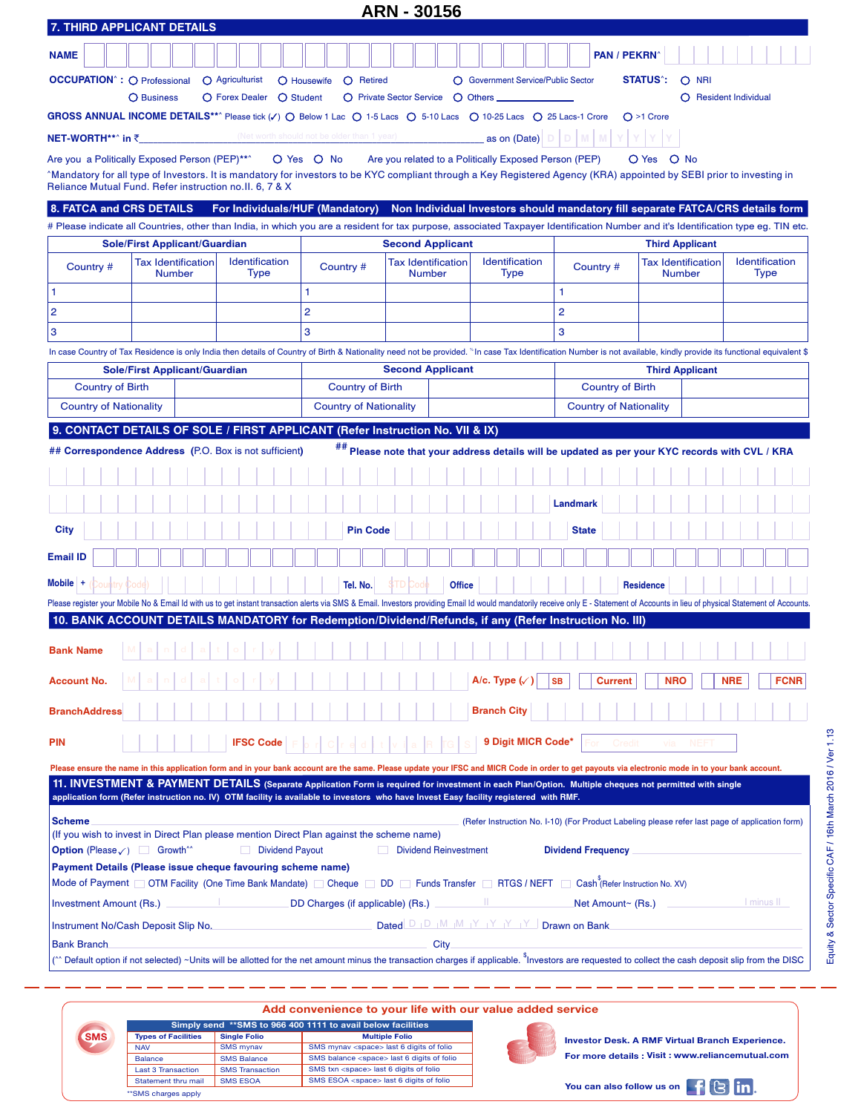|                                                                                                                                                                                                                                                                                                 |                                            |                         |                                             |                                  |                               |                   | <b>ARN - 30156</b> |                                                                                                 |                                    |                               |                           |              |                |                         |                               |                        |                                                                                                |            |                               |             |
|-------------------------------------------------------------------------------------------------------------------------------------------------------------------------------------------------------------------------------------------------------------------------------------------------|--------------------------------------------|-------------------------|---------------------------------------------|----------------------------------|-------------------------------|-------------------|--------------------|-------------------------------------------------------------------------------------------------|------------------------------------|-------------------------------|---------------------------|--------------|----------------|-------------------------|-------------------------------|------------------------|------------------------------------------------------------------------------------------------|------------|-------------------------------|-------------|
| 7. THIRD APPLICANT DETAILS                                                                                                                                                                                                                                                                      |                                            |                         |                                             |                                  |                               |                   |                    |                                                                                                 |                                    |                               |                           |              |                |                         |                               |                        |                                                                                                |            |                               |             |
| <b>NAME</b>                                                                                                                                                                                                                                                                                     |                                            |                         |                                             |                                  |                               |                   |                    |                                                                                                 |                                    |                               |                           |              |                | <b>PAN / PEKRN</b>      |                               |                        |                                                                                                |            |                               |             |
| <b>OCCUPATION</b> <sup>*</sup> : O Professional                                                                                                                                                                                                                                                 |                                            | $\bigcap$ Agriculturist |                                             | $\bigcap$ Housewife              |                               | $\bigcap$ Retired |                    |                                                                                                 | ◯ Government Service/Public Sector |                               |                           |              |                |                         | <b>STATUS</b> <sup>*</sup> :  |                        | $O$ NRI                                                                                        |            |                               |             |
|                                                                                                                                                                                                                                                                                                 | <b>O</b> Business                          |                         | O Forex Dealer O Student                    |                                  |                               |                   |                    | ○ Private Sector Service ○ Others                                                               |                                    |                               |                           |              |                |                         |                               |                        | ○ Resident Individual                                                                          |            |                               |             |
| GROSS ANNUAL INCOME DETAILS**^ Please tick (V) O Below 1 Lac O 1-5 Lacs O 5-10 Lacs O 10-25 Lacs O 25 Lacs-1 Crore                                                                                                                                                                              |                                            |                         |                                             |                                  |                               |                   |                    |                                                                                                 |                                    |                               |                           |              |                |                         | $O > 1$ Crore                 |                        |                                                                                                |            |                               |             |
| NET-WORTH**^ in ₹_                                                                                                                                                                                                                                                                              |                                            |                         | (Net worth should not be older than 1 year) |                                  |                               |                   |                    |                                                                                                 |                                    | as on (Date)                  |                           |              |                |                         |                               |                        |                                                                                                |            |                               |             |
| Are you a Politically Exposed Person (PEP)**^                                                                                                                                                                                                                                                   |                                            |                         |                                             | O Yes O No                       |                               |                   |                    | Are you related to a Politically Exposed Person (PEP)                                           |                                    |                               |                           |              |                |                         | O Yes O No                    |                        |                                                                                                |            |                               |             |
| Mandatory for all type of Investors. It is mandatory for investors to be KYC compliant through a Key Registered Agency (KRA) appointed by SEBI prior to investing in<br>Reliance Mutual Fund. Refer instruction no. II. 6, 7 & X                                                                |                                            |                         |                                             |                                  |                               |                   |                    |                                                                                                 |                                    |                               |                           |              |                |                         |                               |                        |                                                                                                |            |                               |             |
| 8. FATCA and CRS DETAILS                                                                                                                                                                                                                                                                        |                                            |                         | For Individuals/HUF (Mandatory)             |                                  |                               |                   |                    | Non Individual Investors should mandatory fill separate FATCA/CRS details form                  |                                    |                               |                           |              |                |                         |                               |                        |                                                                                                |            |                               |             |
| # Please indicate all Countries, other than India, in which you are a resident for tax purpose, associated Taxpayer Identification Number and it's Identification type eg. TIN etc.                                                                                                             |                                            |                         |                                             |                                  |                               |                   |                    |                                                                                                 |                                    |                               |                           |              |                |                         |                               |                        |                                                                                                |            |                               |             |
|                                                                                                                                                                                                                                                                                                 | <b>Sole/First Applicant/Guardian</b>       |                         |                                             |                                  |                               |                   |                    | <b>Second Applicant</b>                                                                         |                                    |                               |                           |              |                |                         |                               | <b>Third Applicant</b> |                                                                                                |            |                               |             |
| Country #                                                                                                                                                                                                                                                                                       | <b>Tax Identification</b><br><b>Number</b> |                         | Identification<br>Type                      |                                  | Country #                     |                   | <b>Number</b>      | <b>Tax Identification</b>                                                                       |                                    | Identification<br><b>Type</b> |                           |              | Country #      |                         |                               | <b>Number</b>          | <b>Tax Identification</b>                                                                      |            | Identification<br><b>Type</b> |             |
| $\mathbf{1}$                                                                                                                                                                                                                                                                                    |                                            |                         |                                             | 1                                |                               |                   |                    |                                                                                                 |                                    |                               | 1                         |              |                |                         |                               |                        |                                                                                                |            |                               |             |
| $\overline{\mathbf{c}}$                                                                                                                                                                                                                                                                         |                                            |                         |                                             | $\overline{2}$                   |                               |                   |                    |                                                                                                 |                                    |                               | $\overline{2}$            |              |                |                         |                               |                        |                                                                                                |            |                               |             |
| 3                                                                                                                                                                                                                                                                                               |                                            |                         |                                             | 3                                |                               |                   |                    |                                                                                                 |                                    |                               | 3                         |              |                |                         |                               |                        |                                                                                                |            |                               |             |
| In case Country of Tax Residence is only India then details of Country of Birth & Nationality need not be provided. "In case Tax Identification Number is not available, kindly provide its functional equivalent \$                                                                            |                                            |                         |                                             |                                  |                               |                   |                    |                                                                                                 |                                    |                               |                           |              |                |                         |                               |                        |                                                                                                |            |                               |             |
| <b>Country of Birth</b>                                                                                                                                                                                                                                                                         | <b>Sole/First Applicant/Guardian</b>       |                         |                                             |                                  | <b>Country of Birth</b>       |                   |                    | <b>Second Applicant</b>                                                                         |                                    |                               |                           |              |                | <b>Country of Birth</b> |                               | <b>Third Applicant</b> |                                                                                                |            |                               |             |
| <b>Country of Nationality</b>                                                                                                                                                                                                                                                                   |                                            |                         |                                             |                                  | <b>Country of Nationality</b> |                   |                    |                                                                                                 |                                    |                               |                           |              |                |                         | <b>Country of Nationality</b> |                        |                                                                                                |            |                               |             |
|                                                                                                                                                                                                                                                                                                 |                                            |                         |                                             |                                  |                               |                   |                    |                                                                                                 |                                    |                               |                           |              |                |                         |                               |                        |                                                                                                |            |                               |             |
| 9. CONTACT DETAILS OF SOLE / FIRST APPLICANT (Refer Instruction No. VII & IX)                                                                                                                                                                                                                   |                                            |                         |                                             |                                  |                               |                   |                    |                                                                                                 |                                    |                               |                           |              |                |                         |                               |                        |                                                                                                |            |                               |             |
| ## Correspondence Address (P.O. Box is not sufficient)                                                                                                                                                                                                                                          |                                            |                         |                                             |                                  |                               |                   |                    | ## Please note that your address details will be updated as per your KYC records with CVL / KRA |                                    |                               |                           |              |                |                         |                               |                        |                                                                                                |            |                               |             |
|                                                                                                                                                                                                                                                                                                 |                                            |                         |                                             |                                  |                               |                   |                    |                                                                                                 |                                    |                               |                           |              |                |                         |                               |                        |                                                                                                |            |                               |             |
|                                                                                                                                                                                                                                                                                                 |                                            |                         |                                             |                                  |                               |                   |                    |                                                                                                 |                                    |                               |                           | Landmark     |                |                         |                               |                        |                                                                                                |            |                               |             |
| City                                                                                                                                                                                                                                                                                            |                                            |                         |                                             |                                  |                               | <b>Pin Code</b>   |                    |                                                                                                 |                                    |                               |                           | <b>State</b> |                |                         |                               |                        |                                                                                                |            |                               |             |
| <b>Email ID</b>                                                                                                                                                                                                                                                                                 |                                            |                         |                                             |                                  |                               |                   |                    |                                                                                                 |                                    |                               |                           |              |                |                         |                               |                        |                                                                                                |            |                               |             |
| $Mobile$ +<br>ountry (Code                                                                                                                                                                                                                                                                      |                                            |                         |                                             |                                  |                               | Tel. No.          |                    | <b>Office</b>                                                                                   |                                    |                               |                           |              |                |                         | <b>Residence</b>              |                        |                                                                                                |            |                               |             |
| Please register your Mobile No & Email Id with us to get instant transaction alerts via SMS & Email. Investors providing Email Id would mandatorily receive only E - Statement of Accounts in lieu of physical Statement of Ac                                                                  |                                            |                         |                                             |                                  |                               |                   |                    |                                                                                                 |                                    |                               |                           |              |                |                         |                               |                        |                                                                                                |            |                               |             |
| 10. BANK ACCOUNT DETAILS MANDATORY for Redemption/Dividend/Refunds, if any (Refer Instruction No. III)                                                                                                                                                                                          |                                            |                         |                                             |                                  |                               |                   |                    |                                                                                                 |                                    |                               |                           |              |                |                         |                               |                        |                                                                                                |            |                               |             |
| <b>Bank Name</b>                                                                                                                                                                                                                                                                                |                                            |                         |                                             |                                  |                               |                   |                    |                                                                                                 |                                    |                               |                           |              |                |                         |                               |                        |                                                                                                |            |                               |             |
| <b>Account No.</b>                                                                                                                                                                                                                                                                              |                                            |                         |                                             |                                  |                               |                   |                    |                                                                                                 | A/c. Type $\sqrt{ }$               |                               | <b>SB</b>                 |              | <b>Current</b> |                         |                               | <b>NRO</b>             |                                                                                                | <b>NRE</b> |                               | <b>FCNR</b> |
| <b>BranchAddress</b>                                                                                                                                                                                                                                                                            |                                            |                         |                                             |                                  |                               |                   |                    |                                                                                                 | <b>Branch City</b>                 |                               |                           |              |                |                         |                               |                        |                                                                                                |            |                               |             |
| <b>PIN</b>                                                                                                                                                                                                                                                                                      |                                            |                         | <b>IFSC Code</b>                            |                                  |                               |                   |                    |                                                                                                 |                                    |                               | 9 Digit MICR Code*        |              |                | Credit                  |                               | via                    | <b>NEFT</b>                                                                                    |            |                               |             |
| Please ensure the name in this application form and in your bank account are the same. Please update your IFSC and MICR Code in order to get payouts via electronic mode in to your bank account.                                                                                               |                                            |                         |                                             |                                  |                               |                   |                    |                                                                                                 |                                    |                               |                           |              |                |                         |                               |                        |                                                                                                |            |                               |             |
| 11. INVESTMENT & PAYMENT DETAILS (Separate Application Form is required for investment in each Plan/Option. Multiple cheques not permitted with single<br>application form (Refer instruction no. IV) OTM facility is available to investors who have Invest Easy facility registered with RMF. |                                            |                         |                                             |                                  |                               |                   |                    |                                                                                                 |                                    |                               |                           |              |                |                         |                               |                        |                                                                                                |            |                               |             |
|                                                                                                                                                                                                                                                                                                 |                                            |                         |                                             |                                  |                               |                   |                    |                                                                                                 |                                    |                               |                           |              |                |                         |                               |                        |                                                                                                |            |                               |             |
| <b>Scheme</b><br>(If you wish to invest in Direct Plan please mention Direct Plan against the scheme name)                                                                                                                                                                                      |                                            |                         |                                             |                                  |                               |                   |                    |                                                                                                 |                                    |                               |                           |              |                |                         |                               |                        | (Refer Instruction No. I-10) (For Product Labeling please refer last page of application form) |            |                               |             |
| <b>Option</b> (Please $\checkmark$ ) Growth <sup>**</sup>                                                                                                                                                                                                                                       |                                            |                         | Dividend Payout                             |                                  |                               |                   |                    | <b>Dividend Reinvestment</b>                                                                    |                                    |                               | <b>Dividend Frequency</b> |              |                |                         |                               |                        |                                                                                                |            |                               |             |
| Payment Details (Please issue cheque favouring scheme name)                                                                                                                                                                                                                                     |                                            |                         |                                             |                                  |                               |                   |                    |                                                                                                 |                                    |                               |                           |              |                |                         |                               |                        |                                                                                                |            |                               |             |
| Mode of Payment OTM Facility (One Time Bank Mandate) Cheque DD Funds Transfer RTGS / NEFT Cash (Refer Instruction No. XV)                                                                                                                                                                       |                                            |                         |                                             |                                  |                               |                   |                    |                                                                                                 |                                    |                               |                           |              |                |                         |                               |                        |                                                                                                |            |                               |             |
| <b>Investment Amount (Rs.)</b>                                                                                                                                                                                                                                                                  |                                            |                         |                                             | DD Charges (if applicable) (Rs.) |                               |                   |                    |                                                                                                 |                                    |                               |                           |              |                | Net Amount~ (Rs.)       |                               |                        |                                                                                                |            | I minus II                    |             |
| Instrument No/Cash Deposit Slip No.                                                                                                                                                                                                                                                             |                                            |                         |                                             |                                  |                               |                   |                    | Dated D   D   M   M   Y   Y   Y   Y   Drawn on Bank                                             |                                    |                               |                           |              |                |                         |                               |                        |                                                                                                |            |                               |             |
| <b>Bank Branch</b><br>Default option if not selected) ∼Units will be allotted for the net amount minus the transaction charges if applicable. <sup>\$</sup> Investors are requested to collect the cash deposit slip from the DISC                                                              |                                            |                         |                                             |                                  |                               |                   |                    | <b>City</b>                                                                                     |                                    |                               |                           |              |                |                         |                               |                        |                                                                                                |            |                               |             |
|                                                                                                                                                                                                                                                                                                 |                                            |                         |                                             |                                  |                               |                   |                    |                                                                                                 |                                    |                               |                           |              |                |                         |                               |                        |                                                                                                |            |                               |             |

|                            |                        | Add convenience to your life with our value added service    |
|----------------------------|------------------------|--------------------------------------------------------------|
|                            |                        | Simply send ** SMS to 966 400 1111 to avail below facilities |
| <b>Types of Facilities</b> | <b>Single Folio</b>    | <b>Multiple Folio</b>                                        |
| <b>NAV</b>                 | <b>SMS mynav</b>       | SMS mynav <space> last 6 digits of folio</space>             |
| <b>Balance</b>             | <b>SMS Balance</b>     | SMS balance <space> last 6 digits of folio</space>           |
| <b>Last 3 Transaction</b>  | <b>SMS Transaction</b> | SMS txn <space> last 6 digits of folio</space>               |
| Statement thru mail        | <b>SMS ESOA</b>        | SMS ESOA <space> last 6 digits of folio</space>              |

\*\*SMS charges apply

**SMS**

**Investor Desk. A RMF Virtual Branch Experience.**

Equity & Sector Specific CAF / 16th March 2016 / Ver 1.13

Equity & Sector Specific CAF / 16th March 2016 / Ver 1.13

**For more details : Visit : www.reliancemutual.com**

You can also follow us on **Fig.**